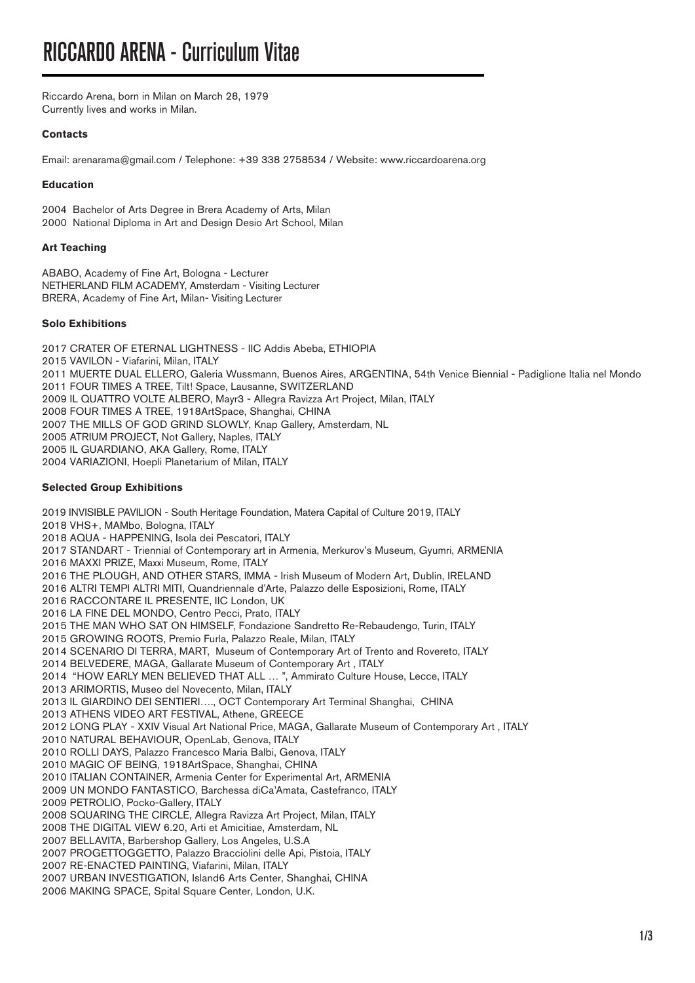Riccardo Arena, born in Milan on March 28, 1979 Currently lives and works in Milan.

# **Contacts**

Email: arenarama@gmail.com / Telephone: +39 338 2758534 / Website: www.riccardoarena.org

## **Education**

2004 Bachelor of Arts Degree in Brera Academy of Arts, Milan 2000 National Diploma in Art and Design Desio Art School, Milan

# **Art Teaching**

ABABO, Academy of Fine Art, Bologna - Lecturer NETHERLAND FILM ACADEMY, Amsterdam - Visiting Lecturer BRERA, Academy of Fine Art, Milan- Visiting Lecturer

## **Solo Exhibitions**

2017 CRATER OF ETERNAL LIGHTNESS - IIC Addis Abeba, ETHIOPIA 2015 VAVILON - Viafarini, Milan, ITALY 2011 MUERTE DUAL ELLERO, Galeria Wussmann, Buenos Aires, ARGENTINA, 54th Venice Biennial - Padiglione Italia nel Mondo 2011 FOUR TIMES A TREE, Tilt! Space, Lausanne, SWITZERLAND 2009 IL QUATTRO VOLTE ALBERO, Mayr3 - Allegra Ravizza Art Project, Milan, ITALY 2008 FOUR TIMES A TREE, 1918ArtSpace, Shanghai, CHINA 2007 THE MILLS OF GOD GRIND SLOWLY, Knap Gallery, Amsterdam, NL 2005 ATRIUM PROJECT, Not Gallery, Naples, ITALY 2005 IL GUARDIANO, AKA Gallery, Rome, ITALY 2004 VARIAZIONI, Hoepli Planetarium of Milan, ITALY

# **Selected Group Exhibitions**

2019 INVISIBLE PAVILION - South Heritage Foundation, Matera Capital of Culture 2019, ITALY 2018 VHS+, MAMbo, Bologna, ITALY 2018 AQUA - HAPPENING, Isola dei Pescatori, ITALY 2017 STANDART - Triennial of Contemporary art in Armenia, Merkurov's Museum, Gyumri, ARMENIA 2016 MAXXI PRIZE, Maxxi Museum, Rome, ITALY 2016 THE PLOUGH, AND OTHER STARS, IMMA - Irish Museum of Modern Art, Dublin, IRELAND 2016 ALTRI TEMPI ALTRI MITI, Quandriennale d'Arte, Palazzo delle Esposizioni, Rome, ITALY 2016 RACCONTARE IL PRESENTE, IIC London, UK 2016 LA FINE DEL MONDO, Centro Pecci, Prato, ITALY 2015 THE MAN WHO SAT ON HIMSELF, Fondazione Sandretto Re-Rebaudengo, Turin, ITALY 2015 GROWING ROOTS, Premio Furla, Palazzo Reale, Milan, ITALY 2014 SCENARIO DI TERRA, MART, Museum of Contemporary Art of Trento and Rovereto, ITALY 2014 BELVEDERE, MAGA, Gallarate Museum of Contemporary Art , ITALY 2014 "HOW EARLY MEN BELIEVED THAT ALL … ", Ammirato Culture House, Lecce, ITALY 2013 ARIMORTIS, Museo del Novecento, Milan, ITALY 2013 IL GIARDINO DEI SENTIERI…., OCT Contemporary Art Terminal Shanghai, CHINA 2013 ATHENS VIDEO ART FESTIVAL, Athene, GREECE 2012 LONG PLAY - XXIV Visual Art National Price, MAGA, Gallarate Museum of Contemporary Art , ITALY 2010 NATURAL BEHAVIOUR, OpenLab, Genova, ITALY 2010 ROLLI DAYS, Palazzo Francesco Maria Balbi, Genova, ITALY 2010 MAGIC OF BEING, 1918ArtSpace, Shanghai, CHINA 2010 ITALIAN CONTAINER, Armenia Center for Experimental Art, ARMENIA 2009 UN MONDO FANTASTICO, Barchessa diCa'Amata, Castefranco, ITALY 2009 PETROLIO, Pocko-Gallery, ITALY 2008 SQUARING THE CIRCLE, Allegra Ravizza Art Project, Milan, ITALY 2008 THE DIGITAL VIEW 6.20, Arti et Amicitiae, Amsterdam, NL 2007 BELLAVITA, Barbershop Gallery, Los Angeles, U.S.A 2007 PROGETTOGGETTO, Palazzo Bracciolini delle Api, Pistoia, ITALY 2007 RE-ENACTED PAINTING, Viafarini, Milan, ITALY 2007 URBAN INVESTIGATION, Island6 Arts Center, Shanghai, CHINA 2006 MAKING SPACE, Spital Square Center, London, U.K.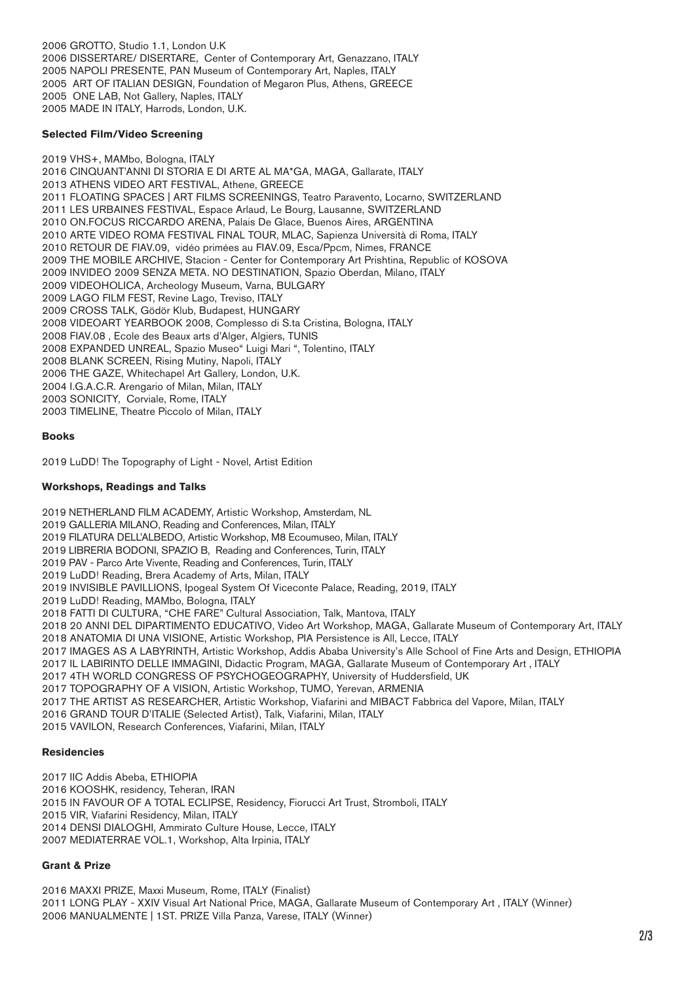2006 GROTTO, Studio 1.1, London U.K 2006 DISSERTARE/ DISERTARE, Center of Contemporary Art, Genazzano, ITALY 2005 NAPOLI PRESENTE, PAN Museum of Contemporary Art, Naples, ITALY 2005 ART OF ITALIAN DESIGN, Foundation of Megaron Plus, Athens, GREECE 2005 ONE LAB, Not Gallery, Naples, ITALY 2005 MADE IN ITALY, Harrods, London, U.K.

### **Selected Film/Video Screening**

2019 VHS+, MAMbo, Bologna, ITALY 2016 CINQUANT'ANNI DI STORIA E DI ARTE AL MA\*GA, MAGA, Gallarate, ITALY 2013 ATHENS VIDEO ART FESTIVAL, Athene, GREECE 2011 FLOATING SPACES | ART FILMS SCREENINGS, Teatro Paravento, Locarno, SWITZERLAND 2011 LES URBAINES FESTIVAL, Espace Arlaud, Le Bourg, Lausanne, SWITZERLAND 2010 ON.FOCUS RICCARDO ARENA, Palais De Glace, Buenos Aires, ARGENTINA 2010 ARTE VIDEO ROMA FESTIVAL FINAL TOUR, MLAC, Sapienza Università di Roma, ITALY 2010 RETOUR DE FIAV.09, vidéo primées au FIAV.09, Esca/Ppcm, Nimes, FRANCE 2009 THE MOBILE ARCHIVE, Stacion - Center for Contemporary Art Prishtina, Republic of KOSOVA 2009 INVIDEO 2009 SENZA META. NO DESTINATION, Spazio Oberdan, Milano, ITALY 2009 VIDEOHOLICA, Archeology Museum, Varna, BULGARY 2009 LAGO FILM FEST, Revine Lago, Treviso, ITALY 2009 CROSS TALK, Gödör Klub, Budapest, HUNGARY 2008 VIDEOART YEARBOOK 2008, Complesso di S.ta Cristina, Bologna, ITALY 2008 FIAV.08 , Ecole des Beaux arts d'Alger, Algiers, TUNIS 2008 EXPANDED UNREAL, Spazio Museo" Luigi Mari ", Tolentino, ITALY 2008 BLANK SCREEN, Rising Mutiny, Napoli, ITALY 2006 THE GAZE, Whitechapel Art Gallery, London, U.K. 2004 I.G.A.C.R. Arengario of Milan, Milan, ITALY 2003 SONICITY, Corviale, Rome, ITALY 2003 TIMELINE, Theatre Piccolo of Milan, ITALY

### **Books**

2019 LuDD! The Topography of Light - Novel, Artist Edition

### **Workshops, Readings and Talks**

2019 NETHERLAND FILM ACADEMY, Artistic Workshop, Amsterdam, NL 2019 GALLERIA MILANO, Reading and Conferences, Milan, ITALY 2019 FILATURA DELL'ALBEDO, Artistic Workshop, M8 Ecoumuseo, Milan, ITALY 2019 LIBRERIA BODONI, SPAZIO B, Reading and Conferences, Turin, ITALY 2019 PAV - Parco Arte Vivente, Reading and Conferences, Turin, ITALY 2019 LuDD! Reading, Brera Academy of Arts, Milan, ITALY 2019 INVISIBLE PAVILLIONS, Ipogeal System Of Viceconte Palace, Reading, 2019, ITALY 2019 LuDD! Reading, MAMbo, Bologna, ITALY 2018 FATTI DI CULTURA, "CHE FARE" Cultural Association, Talk, Mantova, ITALY 2018 20 ANNI DEL DIPARTIMENTO EDUCATIVO, Video Art Workshop, MAGA, Gallarate Museum of Contemporary Art, ITALY 2018 ANATOMIA DI UNA VISIONE, Artistic Workshop, PIA Persistence is All, Lecce, ITALY 2017 IMAGES AS A LABYRINTH, Artistic Workshop, Addis Ababa University's Alle School of Fine Arts and Design, ETHIOPIA 2017 IL LABIRINTO DELLE IMMAGINI, Didactic Program, MAGA, Gallarate Museum of Contemporary Art , ITALY 2017 4TH WORLD CONGRESS OF PSYCHOGEOGRAPHY, University of Huddersfield, UK 2017 TOPOGRAPHY OF A VISION, Artistic Workshop, TUMO, Yerevan, ARMENIA 2017 THE ARTIST AS RESEARCHER, Artistic Workshop, Viafarini and MIBACT Fabbrica del Vapore, Milan, ITALY 2016 GRAND TOUR D'ITALIE (Selected Artist), Talk, Viafarini, Milan, ITALY 2015 VAVILON, Research Conferences, Viafarini, Milan, ITALY

#### **Residencies**

2017 IIC Addis Abeba, ETHIOPIA 2016 KOOSHK, residency, Teheran, IRAN 2015 IN FAVOUR OF A TOTAL ECLIPSE, Residency, Fiorucci Art Trust, Stromboli, ITALY 2015 VIR, Viafarini Residency, Milan, ITALY 2014 DENSI DIALOGHI, Ammirato Culture House, Lecce, ITALY 2007 MEDIATERRAE VOL.1, Workshop, Alta Irpinia, ITALY

#### **Grant & Prize**

2016 MAXXI PRIZE, Maxxi Museum, Rome, ITALY (Finalist) 2011 LONG PLAY - XXIV Visual Art National Price, MAGA, Gallarate Museum of Contemporary Art , ITALY (Winner) 2006 MANUALMENTE | 1ST. PRIZE Villa Panza, Varese, ITALY (Winner)